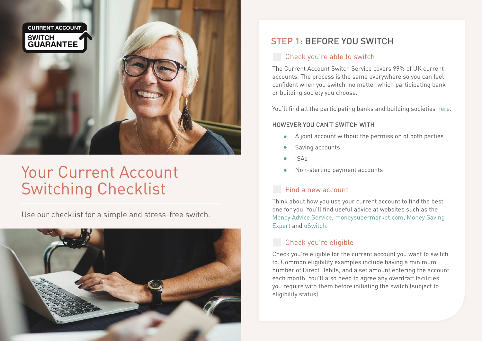

# Your Current Account Switching Checklist

Use our checklist for a simple and stress-free switch.



# STEP 1: BEFORE YOU SWITCH

#### **Check you're able to switch**

The Current Account Switch Service covers 99% of UK current accounts. The process is the same everywhere so you can feel confident when you switch, no matter which participating bank or building society you choose.

You'll find all the participating banks and building societies [here.](https://www.currentaccountswitch.co.uk/banksandbuildingsocieties/Pages/banks.aspx)

#### HOWEVER YOU CAN'T SWITCH WITH

- A joint account without the permission of both parties  $\bullet$
- Saving accounts
- ISAs
- Non-sterling payment accounts

## Find a new account

Think about how you use your current account to find the best one for you. You'll find useful advice at websites such as the [Money Advice Service,](http://www.MoneyAdviceService.org.uk) [moneysupermarket.com,](http://www.moneysupermarket.com/current-accounts/) [Money Saving](http://www.MoneySavingExpert.com/banking/)  [Expert](http://www.MoneySavingExpert.com/banking/) and [uSwitch](https://www.uSwitch.com/current-accounts/).

## Check you're eligible

Check you're eligible for the current account you want to switch to. Common eligibility examples include having a minimum number of Direct Debits, and a set amount entering the account each month. You'll also need to agree any overdraft facilities you require with them before initiating the switch (subject to eligibility status).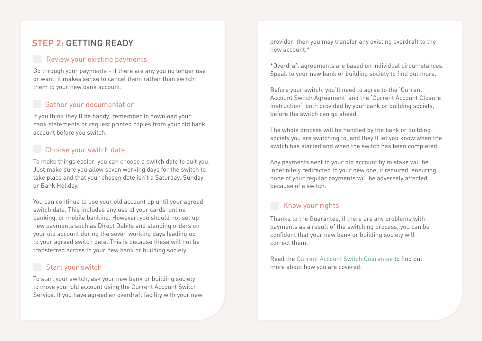# STEP 2: GETTING READY

#### Review your existing payments

Go through your payments – if there are any you no longer use or want, it makes sense to cancel them rather than switch them to your new bank account.

## Gather your documentation

If you think they'll be handy, remember to download your bank statements or request printed copies from your old bank account before you switch.

#### **Choose your switch date**

To make things easier, you can choose a switch date to suit you. Just make sure you allow seven working days for the switch to take place and that your chosen date isn't a Saturday, Sunday or Bank Holiday.

You can continue to use your old account up until your agreed switch date. This includes any use of your cards, online banking, or mobile banking. However, you should not set up new payments such as Direct Debits and standing orders on your old account during the seven working days leading up to your agreed switch date. This is because these will not be transferred across to your new bank or building society.

#### Start your switch

To start your switch, ask your new bank or building society to move your old account using the Current Account Switch Service. If you have agreed an overdraft facility with your new provider, then you may transfer any existing overdraft to the new account  $*$ 

\*Overdraft agreements are based on individual circumstances. Speak to your new bank or building society to find out more.

Before your switch, you'll need to agree to the 'Current Account Switch Agreement' and the 'Current Account Closure Instruction', both provided by your bank or building society, before the switch can go ahead.

The whole process will be handled by the bank or building society you are switching to, and they'll let you know when the switch has started and when the switch has been completed.

Any payments sent to your old account by mistake will be indefinitely redirected to your new one, if required, ensuring none of your regular payments will be adversely affected because of a switch.

## Know your rights

Thanks to the Guarantee, if there are any problems with payments as a result of the switching process, you can be confident that your new bank or building society will correct them.

Read the [Current Account Switch Guarantee](https://www.currentaccountswitch.co.uk/SiteCollectionDocuments/CurrentAccountSwitchGuarantee.pdf) to find out more about how you are covered.